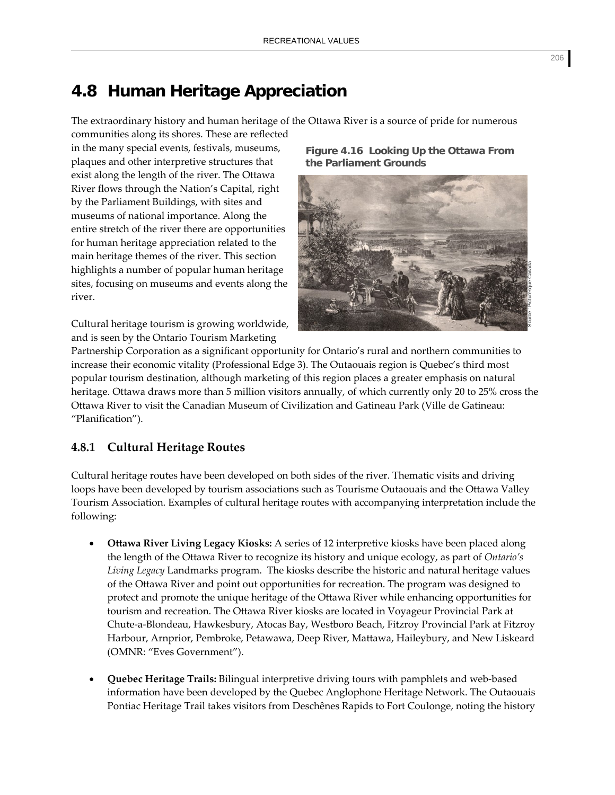# **4.8 Human Heritage Appreciation**

The extraordinary history and human heritage of the Ottawa River is a source of pride for numerous

communities along its shores. These are reflected in the many special events, festivals, museums, plaques and other interpretive structures that exist along the length of the river. The Ottawa River flows through the Nation's Capital, right by the Parliament Buildings, with sites and museums of national importance. Along the entire stretch of the river there are opportunities for human heritage appreciation related to the main heritage themes of the river. This section highlights a number of popular human heritage sites, focusing on museums and events along the river.

Cultural heritage tourism is growing worldwide, and is seen by the Ontario Tourism Marketing

**Figure 4.16 Looking Up the Ottawa From the Parliament Grounds** 



Partnership Corporation as a significant opportunity for Ontario's rural and northern communities to increase their economic vitality (Professional Edge 3). The Outaouais region is Quebec's third most popular tourism destination, although marketing of this region places a greater emphasis on natural heritage. Ottawa draws more than 5 million visitors annually, of which currently only 20 to 25% cross the Ottawa River to visit the Canadian Museum of Civilization and Gatineau Park (Ville de Gatineau: "Planification").

# **4.8.1 Cultural Heritage Routes**

Cultural heritage routes have been developed on both sides of the river. Thematic visits and driving loops have been developed by tourism associations such as Tourisme Outaouais and the Ottawa Valley Tourism Association. Examples of cultural heritage routes with accompanying interpretation include the following:

- **Ottawa River Living Legacy Kiosks:** A series of 12 interpretive kiosks have been placed along the length of the Ottawa River to recognize its history and unique ecology, as part of *Ontario's Living Legacy* Landmarks program. The kiosks describe the historic and natural heritage values of the Ottawa River and point out opportunities for recreation. The program was designed to protect and promote the unique heritage of the Ottawa River while enhancing opportunities for tourism and recreation. The Ottawa River kiosks are located in Voyageur Provincial Park at Chute‐a‐Blondeau, Hawkesbury, Atocas Bay, Westboro Beach, Fitzroy Provincial Park at Fitzroy Harbour, Arnprior, Pembroke, Petawawa, Deep River, Mattawa, Haileybury, and New Liskeard (OMNR: "Eves Government").
- **Quebec Heritage Trails:** Bilingual interpretive driving tours with pamphlets and web‐based information have been developed by the Quebec Anglophone Heritage Network. The Outaouais Pontiac Heritage Trail takes visitors from Deschênes Rapids to Fort Coulonge, noting the history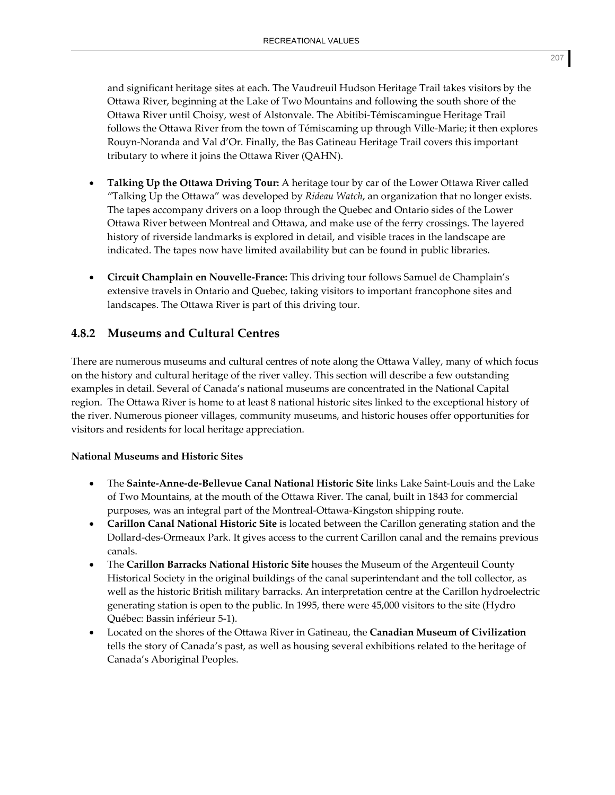and significant heritage sites at each. The Vaudreuil Hudson Heritage Trail takes visitors by the Ottawa River, beginning at the Lake of Two Mountains and following the south shore of the Ottawa River until Choisy, west of Alstonvale. The Abitibi‐Témiscamingue Heritage Trail follows the Ottawa River from the town of Témiscaming up through Ville‐Marie; it then explores Rouyn‐Noranda and Val d'Or. Finally, the Bas Gatineau Heritage Trail covers this important tributary to where it joins the Ottawa River (QAHN).

- **Talking Up the Ottawa Driving Tour:** A heritage tour by car of the Lower Ottawa River called "Talking Up the Ottawa" was developed by *Rideau Watch*, an organization that no longer exists. The tapes accompany drivers on a loop through the Quebec and Ontario sides of the Lower Ottawa River between Montreal and Ottawa, and make use of the ferry crossings. The layered history of riverside landmarks is explored in detail, and visible traces in the landscape are indicated. The tapes now have limited availability but can be found in public libraries.
- **Circuit Champlain en Nouvelle‐France:** This driving tour follows Samuel de Champlain's extensive travels in Ontario and Quebec, taking visitors to important francophone sites and landscapes. The Ottawa River is part of this driving tour.

# **4.8.2 Museums and Cultural Centres**

There are numerous museums and cultural centres of note along the Ottawa Valley, many of which focus on the history and cultural heritage of the river valley. This section will describe a few outstanding examples in detail. Several of Canada's national museums are concentrated in the National Capital region. The Ottawa River is home to at least 8 national historic sites linked to the exceptional history of the river. Numerous pioneer villages, community museums, and historic houses offer opportunities for visitors and residents for local heritage appreciation.

#### **National Museums and Historic Sites**

- The **Sainte‐Anne‐de‐Bellevue Canal National Historic Site** links Lake Saint‐Louis and the Lake of Two Mountains, at the mouth of the Ottawa River. The canal, built in 1843 for commercial purposes, was an integral part of the Montreal‐Ottawa‐Kingston shipping route.
- **Carillon Canal National Historic Site** is located between the Carillon generating station and the Dollard‐des‐Ormeaux Park. It gives access to the current Carillon canal and the remains previous canals.
- The **Carillon Barracks National Historic Site** houses the Museum of the Argenteuil County Historical Society in the original buildings of the canal superintendant and the toll collector, as well as the historic British military barracks. An interpretation centre at the Carillon hydroelectric generating station is open to the public. In 1995, there were 45,000 visitors to the site (Hydro Québec: Bassin inférieur 5‐1).
- Located on the shores of the Ottawa River in Gatineau, the **Canadian Museum of Civilization** tells the story of Canada's past, as well as housing several exhibitions related to the heritage of Canada's Aboriginal Peoples.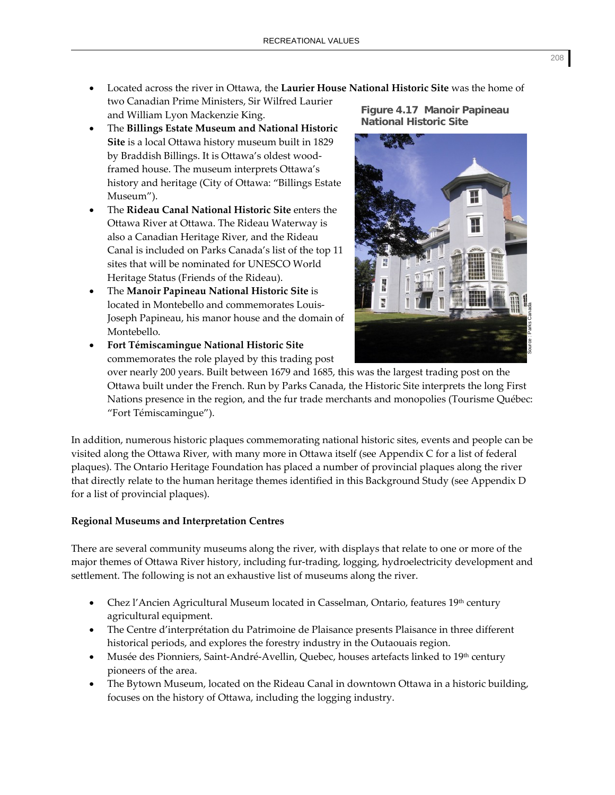- Located across the river in Ottawa, the **Laurier House National Historic Site** was the home of two Canadian Prime Ministers, Sir Wilfred Laurier and William Lyon Mackenzie King. **Figure 4.17 Manoir Papineau**
- The **Billings Estate Museum and National Historic Site** is a local Ottawa history museum built in 1829 by Braddish Billings. It is Ottawa's oldest wood‐ framed house. The museum interprets Ottawa's history and heritage (City of Ottawa: "Billings Estate Museum").
- The **Rideau Canal National Historic Site** enters the Ottawa River at Ottawa. The Rideau Waterway is also a Canadian Heritage River, and the Rideau Canal is included on Parks Canada's list of the top 11 sites that will be nominated for UNESCO World Heritage Status (Friends of the Rideau).
- The **Manoir Papineau National Historic Site** is located in Montebello and commemorates Louis‐ Joseph Papineau, his manor house and the domain of Montebello.
- **Fort Témiscamingue National Historic Site** commemorates the role played by this trading post

**National Historic Site** 



over nearly 200 years. Built between 1679 and 1685, this was the largest trading post on the Ottawa built under the French. Run by Parks Canada, the Historic Site interprets the long First Nations presence in the region, and the fur trade merchants and monopolies (Tourisme Québec: "Fort Témiscamingue").

In addition, numerous historic plaques commemorating national historic sites, events and people can be visited along the Ottawa River, with many more in Ottawa itself (see Appendix C for a list of federal plaques). The Ontario Heritage Foundation has placed a number of provincial plaques along the river that directly relate to the human heritage themes identified in this Background Study (see Appendix D for a list of provincial plaques).

## **Regional Museums and Interpretation Centres**

There are several community museums along the river, with displays that relate to one or more of the major themes of Ottawa River history, including fur‐trading, logging, hydroelectricity development and settlement. The following is not an exhaustive list of museums along the river.

- Chez l'Ancien Agricultural Museum located in Casselman, Ontario, features 19th century agricultural equipment.
- The Centre d'interprétation du Patrimoine de Plaisance presents Plaisance in three different historical periods, and explores the forestry industry in the Outaouais region.
- Musée des Pionniers, Saint‐André‐Avellin, Quebec, houses artefacts linked to 19th century pioneers of the area.
- The Bytown Museum, located on the Rideau Canal in downtown Ottawa in a historic building, focuses on the history of Ottawa, including the logging industry.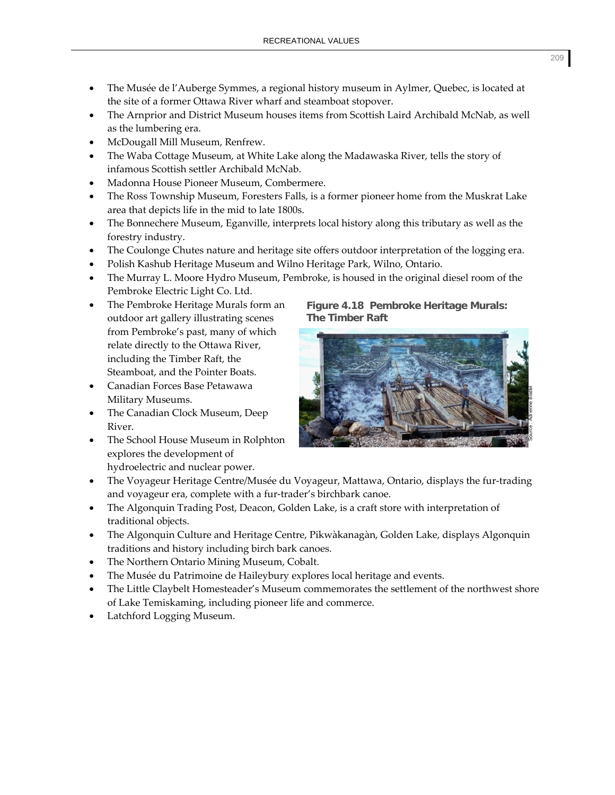- The Musée de l'Auberge Symmes, a regional history museum in Aylmer, Quebec, is located at the site of a former Ottawa River wharf and steamboat stopover.
- The Arnprior and District Museum houses items from Scottish Laird Archibald McNab, as well as the lumbering era.
- McDougall Mill Museum, Renfrew.
- The Waba Cottage Museum, at White Lake along the Madawaska River, tells the story of infamous Scottish settler Archibald McNab.
- Madonna House Pioneer Museum, Combermere.
- The Ross Township Museum, Foresters Falls, is a former pioneer home from the Muskrat Lake area that depicts life in the mid to late 1800s.
- The Bonnechere Museum, Eganville, interprets local history along this tributary as well as the forestry industry.
- The Coulonge Chutes nature and heritage site offers outdoor interpretation of the logging era.
- Polish Kashub Heritage Museum and Wilno Heritage Park, Wilno, Ontario.
- The Murray L. Moore Hydro Museum, Pembroke, is housed in the original diesel room of the Pembroke Electric Light Co. Ltd.
- The Pembroke Heritage Murals form an outdoor art gallery illustrating scenes from Pembroke's past, many of which relate directly to the Ottawa River, including the Timber Raft, the Steamboat, and the Pointer Boats.
- Canadian Forces Base Petawawa Military Museums.
- The Canadian Clock Museum, Deep River.
- The School House Museum in Rolphton explores the development of hydroelectric and nuclear power.
- The Voyageur Heritage Centre/Musée du Voyageur, Mattawa, Ontario, displays the fur‐trading and voyageur era, complete with a fur‐trader's birchbark canoe.
- The Algonquin Trading Post, Deacon, Golden Lake, is a craft store with interpretation of traditional objects.
- The Algonquin Culture and Heritage Centre, Pikwàkanagàn, Golden Lake, displays Algonquin traditions and history including birch bark canoes.
- The Northern Ontario Mining Museum, Cobalt.
- The Musée du Patrimoine de Haileybury explores local heritage and events.
- The Little Claybelt Homesteader's Museum commemorates the settlement of the northwest shore of Lake Temiskaming, including pioneer life and commerce.
- Latchford Logging Museum.

#### **Figure 4.18 Pembroke Heritage Murals: The Timber Raft**

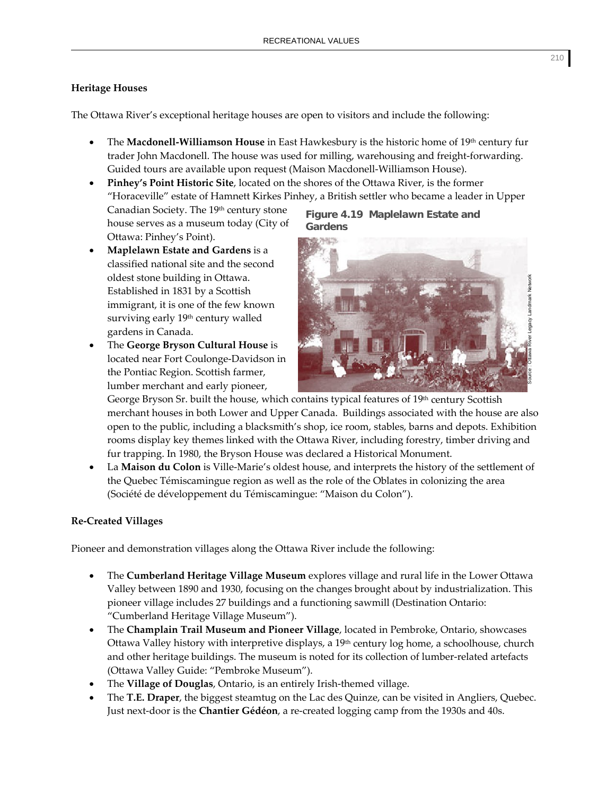#### **Heritage Houses**

The Ottawa River's exceptional heritage houses are open to visitors and include the following:

- The **Macdonell‐Williamson House** in East Hawkesbury is the historic home of 19th century fur trader John Macdonell. The house was used for milling, warehousing and freight-forwarding. Guided tours are available upon request (Maison Macdonell‐Williamson House).
- **Pinhey's Point Historic Site**, located on the shores of the Ottawa River, is the former "Horaceville" estate of Hamnett Kirkes Pinhey, a British settler who became a leader in Upper Canadian Society. The 19th century stone **Figure 4.19 Maplelawn Estate and**

house serves as a museum today (City of Ottawa: Pinhey's Point).

- **Maplelawn Estate and Gardens** is a classified national site and the second oldest stone building in Ottawa. Established in 1831 by a Scottish immigrant, it is one of the few known surviving early 19<sup>th</sup> century walled gardens in Canada.
- The **George Bryson Cultural House** is located near Fort Coulonge‐Davidson in the Pontiac Region. Scottish farmer, lumber merchant and early pioneer,

**Gardens** 

George Bryson Sr. built the house, which contains typical features of 19<sup>th</sup> century Scottish merchant houses in both Lower and Upper Canada. Buildings associated with the house are also open to the public, including a blacksmith's shop, ice room, stables, barns and depots. Exhibition rooms display key themes linked with the Ottawa River, including forestry, timber driving and fur trapping. In 1980, the Bryson House was declared a Historical Monument.

• La **Maison du Colon** is Ville‐Marie's oldest house, and interprets the history of the settlement of the Quebec Témiscamingue region as well as the role of the Oblates in colonizing the area (Société de développement du Témiscamingue: "Maison du Colon").

## **Re‐Created Villages**

Pioneer and demonstration villages along the Ottawa River include the following:

- The **Cumberland Heritage Village Museum** explores village and rural life in the Lower Ottawa Valley between 1890 and 1930, focusing on the changes brought about by industrialization. This pioneer village includes 27 buildings and a functioning sawmill (Destination Ontario: "Cumberland Heritage Village Museum").
- The **Champlain Trail Museum and Pioneer Village**, located in Pembroke, Ontario, showcases Ottawa Valley history with interpretive displays, a  $19<sup>th</sup>$  century log home, a schoolhouse, church and other heritage buildings. The museum is noted for its collection of lumber-related artefacts (Ottawa Valley Guide: "Pembroke Museum").
- The **Village of Douglas**, Ontario, is an entirely Irish‐themed village.
- The **T.E. Draper**, the biggest steamtug on the Lac des Quinze, can be visited in Angliers, Quebec. Just next‐door is the **Chantier Gédéon**, a re‐created logging camp from the 1930s and 40s.

Source : Ottawa River Legacy Landmark Network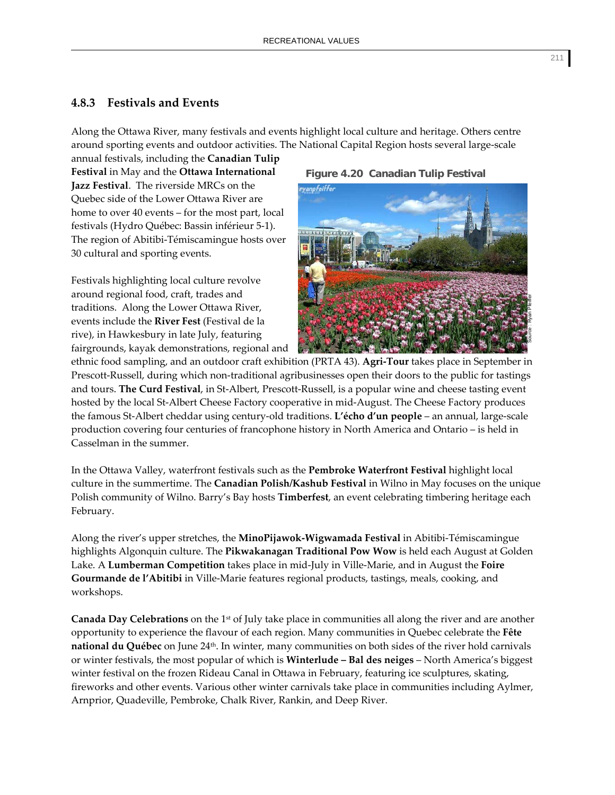## **4.8.3 Festivals and Events**

Along the Ottawa River, many festivals and events highlight local culture and heritage. Others centre around sporting events and outdoor activities. The National Capital Region hosts several large-scale

annual festivals, including the **Canadian Tulip Festival** in May and the **Ottawa International Jazz Festival**. The riverside MRCs on the Quebec side of the Lower Ottawa River are home to over 40 events – for the most part, local festivals (Hydro Québec: Bassin inférieur 5‐1). The region of Abitibi‐Témiscamingue hosts over 30 cultural and sporting events.

Festivals highlighting local culture revolve around regional food, craft, trades and traditions. Along the Lower Ottawa River, events include the **River Fest** (Festival de la rive), in Hawkesbury in late July, featuring fairgrounds, kayak demonstrations, regional and

#### **Figure 4.20 Canadian Tulip Festival**



ethnic food sampling, and an outdoor craft exhibition (PRTA 43). **Agri‐Tour** takes place in September in Prescott-Russell, during which non-traditional agribusinesses open their doors to the public for tastings and tours. **The Curd Festival**, in St‐Albert, Prescott‐Russell, is a popular wine and cheese tasting event hosted by the local St‐Albert Cheese Factory cooperative in mid‐August. The Cheese Factory produces the famous St‐Albert cheddar using century‐old traditions. **L'écho d'un people** – an annual, large‐scale production covering four centuries of francophone history in North America and Ontario – is held in Casselman in the summer.

In the Ottawa Valley, waterfront festivals such as the **Pembroke Waterfront Festival** highlight local culture in the summertime. The **Canadian Polish/Kashub Festival** in Wilno in May focuses on the unique Polish community of Wilno. Barry's Bay hosts **Timberfest**, an event celebrating timbering heritage each February.

Along the river's upper stretches, the **MinoPijawok‐Wigwamada Festival** in Abitibi‐Témiscamingue highlights Algonquin culture. The **Pikwakanagan Traditional Pow Wow** is held each August at Golden Lake. A **Lumberman Competition** takes place in mid‐July in Ville‐Marie, and in August the **Foire Gourmande de l'Abitibi** in Ville‐Marie features regional products, tastings, meals, cooking, and workshops.

**Canada Day Celebrations** on the 1st of July take place in communities all along the river and are another opportunity to experience the flavour of each region. Many communities in Quebec celebrate the **Fête national du Québec** on June 24<sup>th</sup>. In winter, many communities on both sides of the river hold carnivals or winter festivals, the most popular of which is **Winterlude – Bal des neiges** – North America's biggest winter festival on the frozen Rideau Canal in Ottawa in February, featuring ice sculptures, skating, fireworks and other events. Various other winter carnivals take place in communities including Aylmer, Arnprior, Quadeville, Pembroke, Chalk River, Rankin, and Deep River.